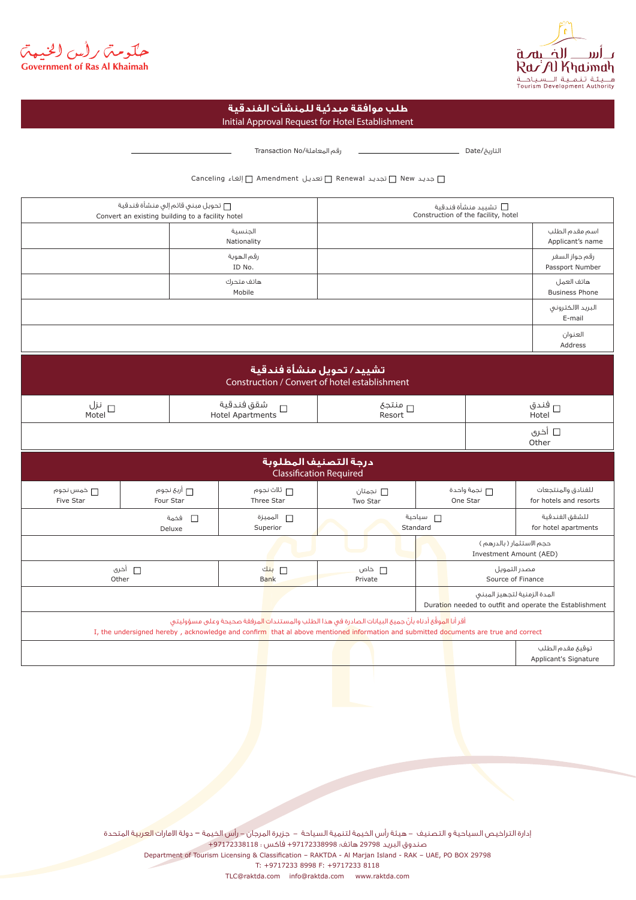



## Initial Approval Request for Hotel Establishment **طلب موافقة مبدئية للمنشآت الفندقية**

التاريخ/Date رقم المعاملة/No Transaction

جديـد New تجديـد Renewal تعديـل Amendment إلغـاء Canceling

| □ تحويل مبنى قائم إلى منشأة فندقية<br>Convert an existing building to a facility hotel                                                                                                                                                        |                                                      |             |                                                 | □   تشييد منشأة فندقية<br>Construction of the facility, hotel |                                                                                        |                                   |                                              |  |  |
|-----------------------------------------------------------------------------------------------------------------------------------------------------------------------------------------------------------------------------------------------|------------------------------------------------------|-------------|-------------------------------------------------|---------------------------------------------------------------|----------------------------------------------------------------------------------------|-----------------------------------|----------------------------------------------|--|--|
|                                                                                                                                                                                                                                               |                                                      |             | الحنسبة<br>Nationality                          |                                                               |                                                                                        |                                   | اسم مقدم الطلب<br>Applicant's name           |  |  |
|                                                                                                                                                                                                                                               |                                                      |             | رقم الهوية<br>ID No.                            |                                                               |                                                                                        |                                   | رقم جواز السغر<br>Passport Number            |  |  |
|                                                                                                                                                                                                                                               |                                                      |             | هاتف متحرك<br>Mobile                            |                                                               |                                                                                        |                                   | هاتف العمل<br><b>Business Phone</b>          |  |  |
|                                                                                                                                                                                                                                               |                                                      |             |                                                 |                                                               |                                                                                        |                                   | البريد الالكترونى<br>E-mail                  |  |  |
|                                                                                                                                                                                                                                               |                                                      |             |                                                 |                                                               |                                                                                        |                                   | العنوان<br>Address                           |  |  |
| تشييد/ تحويل منشأة فندقية<br>Construction / Convert of hotel establishment                                                                                                                                                                    |                                                      |             |                                                 |                                                               |                                                                                        |                                   |                                              |  |  |
| نزل $_\Box$<br>Motel                                                                                                                                                                                                                          |                                                      |             | شقق فندقية<br>$\Box$<br><b>Hotel Apartments</b> | □ منتجع<br>Resort                                             |                                                                                        | □ فندق<br>Hotel                   |                                              |  |  |
|                                                                                                                                                                                                                                               |                                                      |             |                                                 |                                                               |                                                                                        |                                   | □ أخرى<br>Other                              |  |  |
| درجة التصنيف المطلوبة<br><b>Classification Required</b>                                                                                                                                                                                       |                                                      |             |                                                 |                                                               |                                                                                        |                                   |                                              |  |  |
| □ خمس نجوه <sub>ا</sub><br>Five Star                                                                                                                                                                                                          | Four Star                                            | □ أربع نجوم | ┌┌ ثلاث نجوم<br>Three Star                      | ∏ نجمتان<br>Two Star                                          | نجمة واحدة<br>One Star                                                                 |                                   | للفنادق والمنتجعات<br>for hotels and resorts |  |  |
|                                                                                                                                                                                                                                               | $\Box$<br>فخمة<br>Deluxe                             |             | □ المميزة<br>Superior                           |                                                               | <b>□</b> سياحية<br>Standard                                                            |                                   | للشقق الفندقية<br>for hotel apartments       |  |  |
|                                                                                                                                                                                                                                               | حجم الاستثمار ( بالدرهم )<br>Investment Amount (AED) |             |                                                 |                                                               |                                                                                        |                                   |                                              |  |  |
|                                                                                                                                                                                                                                               | □ أخرى<br>Other                                      |             |                                                 | $\Box$ خاص<br>Private                                         |                                                                                        | مصدر التمويل<br>Source of Finance |                                              |  |  |
|                                                                                                                                                                                                                                               |                                                      |             |                                                 |                                                               | المدة الزمنية لتجهيز المبنى<br>Duration needed to outfit and operate the Establishment |                                   |                                              |  |  |
| أقر أنا الموقَّع أدناه بأنَّ جميع البيانات الصادرة فى هذا الطلب والمستندات المرفقة صحيحة وعلى مسؤوليتى<br>I, the undersigned hereby, acknowledge and confirm that al above mentioned information and submitted documents are true and correct |                                                      |             |                                                 |                                                               |                                                                                        |                                   |                                              |  |  |
|                                                                                                                                                                                                                                               |                                                      |             |                                                 |                                                               |                                                                                        |                                   | توقيع مقدم الطلب<br>Applicant's Signature    |  |  |

إدارة التراخيص السياحية و التصنيف - هيئة رأس الخيمة لتنمية السياحة - جزيرة المرجان - رأس الخيمة – دولة الامارات العربية المتحدة صندوق البريد 29798 هاتف: +97172338998 فاكس : +97172338118 Department of Tourism Licensing & Classification - RAKTDA - Al Marjan Island - RAK - UAE, PO BOX 29798 T: +9717233 8998 F: +9717233 8118

TLC@raktda.com info@raktda.com www.raktda.com